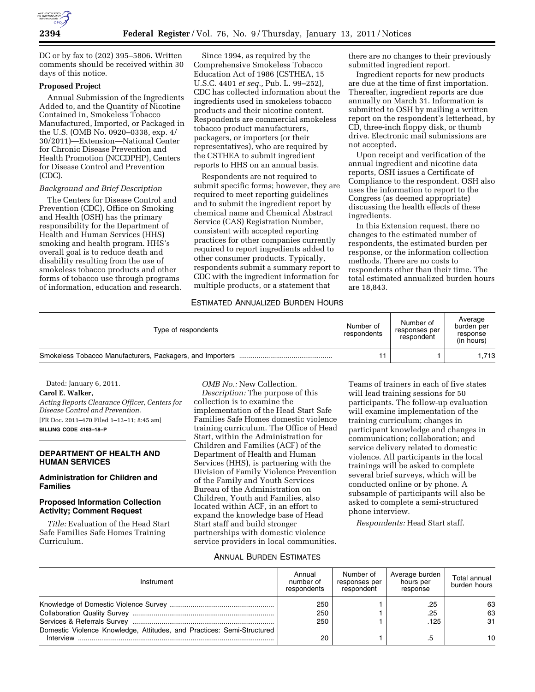

DC or by fax to (202) 395–5806. Written comments should be received within 30 days of this notice.

# **Proposed Project**

Annual Submission of the Ingredients Added to, and the Quantity of Nicotine Contained in, Smokeless Tobacco Manufactured, Imported, or Packaged in the U.S. (OMB No. 0920–0338, exp. 4/ 30/2011)—Extension—National Center for Chronic Disease Prevention and Health Promotion (NCCDPHP), Centers for Disease Control and Prevention (CDC).

#### *Background and Brief Description*

The Centers for Disease Control and Prevention (CDC), Office on Smoking and Health (OSH) has the primary responsibility for the Department of Health and Human Services (HHS) smoking and health program. HHS's overall goal is to reduce death and disability resulting from the use of smokeless tobacco products and other forms of tobacco use through programs of information, education and research.

Since 1994, as required by the Comprehensive Smokeless Tobacco Education Act of 1986 (CSTHEA, 15 U.S.C. 4401 *et seq.,* Pub. L. 99–252), CDC has collected information about the ingredients used in smokeless tobacco products and their nicotine content. Respondents are commercial smokeless tobacco product manufacturers, packagers, or importers (or their representatives), who are required by the CSTHEA to submit ingredient reports to HHS on an annual basis.

Respondents are not required to submit specific forms; however, they are required to meet reporting guidelines and to submit the ingredient report by chemical name and Chemical Abstract Service (CAS) Registration Number, consistent with accepted reporting practices for other companies currently required to report ingredients added to other consumer products. Typically, respondents submit a summary report to CDC with the ingredient information for multiple products, or a statement that

there are no changes to their previously submitted ingredient report.

Ingredient reports for new products are due at the time of first importation. Thereafter, ingredient reports are due annually on March 31. Information is submitted to OSH by mailing a written report on the respondent's letterhead, by CD, three-inch floppy disk, or thumb drive. Electronic mail submissions are not accepted.

Upon receipt and verification of the annual ingredient and nicotine data reports, OSH issues a Certificate of Compliance to the respondent. OSH also uses the information to report to the Congress (as deemed appropriate) discussing the health effects of these ingredients.

In this Extension request, there no changes to the estimated number of respondents, the estimated burden per response, or the information collection methods. There are no costs to respondents other than their time. The total estimated annualized burden hours are 18,843.

#### ESTIMATED ANNUALIZED BURDEN HOURS

| Type of respondents                                       | Number of<br>respondents | Number of<br>responses per<br>respondent | Average<br>burden per<br>response<br>(in hours) |
|-----------------------------------------------------------|--------------------------|------------------------------------------|-------------------------------------------------|
| Smokeless Tobacco Manufacturers, Packagers, and Importers | 11                       |                                          | 1.713                                           |

Dated: January 6, 2011. **Carol E. Walker,**  *Acting Reports Clearance Officer, Centers for Disease Control and Prevention.*  [FR Doc. 2011–470 Filed 1–12–11; 8:45 am]

**BILLING CODE 4163–18–P** 

#### **DEPARTMENT OF HEALTH AND HUMAN SERVICES**

### **Administration for Children and Families**

## **Proposed Information Collection Activity; Comment Request**

*Title:* Evaluation of the Head Start Safe Families Safe Homes Training Curriculum.

*OMB No.:* New Collection.

*Description:* The purpose of this collection is to examine the implementation of the Head Start Safe Families Safe Homes domestic violence training curriculum. The Office of Head Start, within the Administration for Children and Families (ACF) of the Department of Health and Human Services (HHS), is partnering with the Division of Family Violence Prevention of the Family and Youth Services Bureau of the Administration on Children, Youth and Families, also located within ACF, in an effort to expand the knowledge base of Head Start staff and build stronger partnerships with domestic violence service providers in local communities.

Teams of trainers in each of five states will lead training sessions for 50 participants. The follow-up evaluation will examine implementation of the training curriculum; changes in participant knowledge and changes in communication; collaboration; and service delivery related to domestic violence. All participants in the local trainings will be asked to complete several brief surveys, which will be conducted online or by phone. A subsample of participants will also be asked to complete a semi-structured phone interview.

*Respondents:* Head Start staff.

## ANNUAL BURDEN ESTIMATES

| Instrument                                                             | Annual<br>number of<br>respondents | Number of<br>responses per<br>respondent | Average burden<br>hours per<br>response | Total annual<br>burden hours |
|------------------------------------------------------------------------|------------------------------------|------------------------------------------|-----------------------------------------|------------------------------|
|                                                                        | 250                                |                                          | .25                                     | 63                           |
|                                                                        | 250                                |                                          | .25                                     | 63                           |
|                                                                        | 250                                |                                          | .125                                    | 31                           |
| Domestic Violence Knowledge, Attitudes, and Practices: Semi-Structured |                                    |                                          |                                         |                              |
| Interview                                                              | 20                                 |                                          | .5                                      | 10                           |